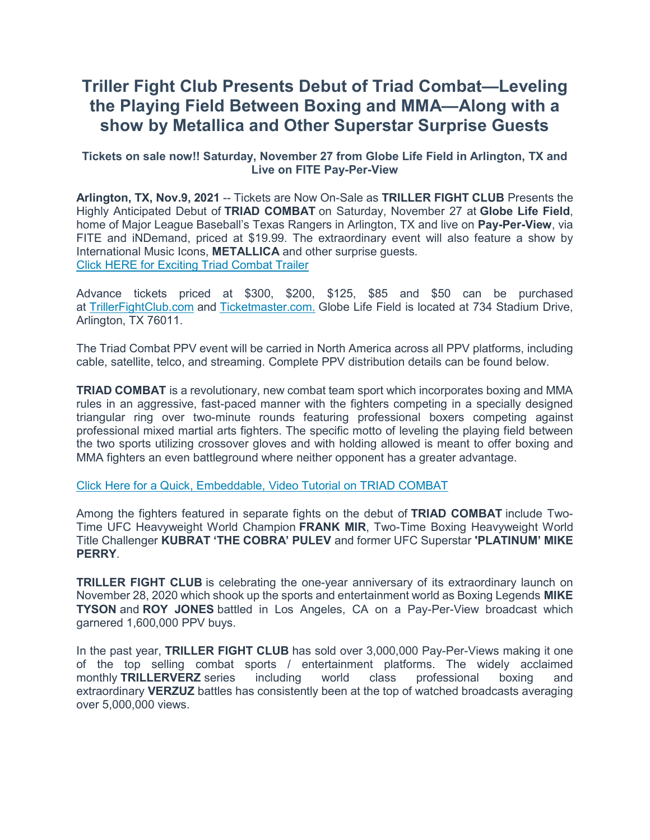# **Triller Fight Club Presents Debut of Triad Combat—Leveling the Playing Field Between Boxing and MMA—Along with a show by Metallica and Other Superstar Surprise Guests**

### **Tickets on sale now!! Saturday, November 27 from Globe Life Field in Arlington, TX and Live on FITE Pay-Per-View**

**Arlington, TX, Nov.9, 2021** -- Tickets are Now On-Sale as **TRILLER FIGHT CLUB** Presents the Highly Anticipated Debut of **TRIAD COMBAT** on Saturday, November 27 at **Globe Life Field**, home of Major League Baseball's Texas Rangers in Arlington, TX and live on **Pay-Per-View**, via FITE and iNDemand, priced at \$19.99. The extraordinary event will also feature a show by International Music Icons, **METALLICA** and other surprise guests. [Click HERE for Exciting Triad Combat Trailer](https://www.globenewswire.com/Tracker?data=YP_-KeSFjG5mNf5QAIEN_t2pUJChrFS4p0YG_SHIk6PLkafEXeVNMdkpkm3GhShmoBtbGYPfTVteHH7GRakpZ0vLfo5fGHRfqXQaYyXftyXBBA4zdXPWcLjlDqIroYFrzwxC8DACc5L9naQswElYXA==)

Advance tickets priced at \$300, \$200, \$125, \$85 and \$50 can be purchased at [TrillerFightClub.com](https://www.globenewswire.com/Tracker?data=oDFS127vWnduD4ZcnlI9NFpaBGQ4Duqk5U0gTSbfhTYqlgHNFDuK7_ADVlN0Rd5AcbhMwuvgWO6kKYNMTVW1l9h3AjBi8XfEcXcG0nEg8k4=) and [Ticketmaster.com.](https://www.globenewswire.com/Tracker?data=bDzKupha6H8J8VcPT6yq1bVw6qhsEijQ5t_IVLWFK2m7uANsXNHOKv65W34CnyEGDE6C8TIXt_Q9YcrwQzyEoOvdLDs9_EPsUJXD1VpT0KSHjSRph3rUi-F36Od_t_LndJ-Mu3r1rxPocNZfOf5qu_kJGgywpru6Dc_b2jQ5wXnPZEi9xucXqWF5I_i1fBq2W2GV3BRvU0XteIv7nfM6lw==) Globe Life Field is located at 734 Stadium Drive, Arlington, TX 76011.

The Triad Combat PPV event will be carried in North America across all PPV platforms, including cable, satellite, telco, and streaming. Complete PPV distribution details can be found below.

**TRIAD COMBAT** is a revolutionary, new combat team sport which incorporates boxing and MMA rules in an aggressive, fast-paced manner with the fighters competing in a specially designed triangular ring over two-minute rounds featuring professional boxers competing against professional mixed martial arts fighters. The specific motto of leveling the playing field between the two sports utilizing crossover gloves and with holding allowed is meant to offer boxing and MMA fighters an even battleground where neither opponent has a greater advantage.

Click Here [for a Quick, Embeddable, Video Tutorial on TRIAD COMBAT](https://www.globenewswire.com/Tracker?data=YP_-KeSFjG5mNf5QAIEN_gxyEbfYEvr_XWpoX1DbrmXPI-6zXEOpHfLWdFwHTFIw6C8m1ZdKYrpuLlFdb_0Qc4ghORhtABBQzI8PlvIDYnkVs6CmjjAv0_vJ2RtnOL9V7Fw_MVOou4-LlxSJvf_z5k8PSLW_JxPHREgIuAOs1hskos6NBzBQ3FX82POTN4am)

Among the fighters featured in separate fights on the debut of **TRIAD COMBAT** include Two-Time UFC Heavyweight World Champion **FRANK MIR**, Two-Time Boxing Heavyweight World Title Challenger **KUBRAT 'THE COBRA' PULEV** and former UFC Superstar **'PLATINUM' MIKE PERRY**.

**TRILLER FIGHT CLUB** is celebrating the one-year anniversary of its extraordinary launch on November 28, 2020 which shook up the sports and entertainment world as Boxing Legends **MIKE TYSON** and **ROY JONES** battled in Los Angeles, CA on a Pay-Per-View broadcast which garnered 1,600,000 PPV buys.

In the past year, **TRILLER FIGHT CLUB** has sold over 3,000,000 Pay-Per-Views making it one of the top selling combat sports / entertainment platforms. The widely acclaimed monthly **TRILLERVERZ** series including world class professional boxing and extraordinary **VERZUZ** battles has consistently been at the top of watched broadcasts averaging over 5,000,000 views.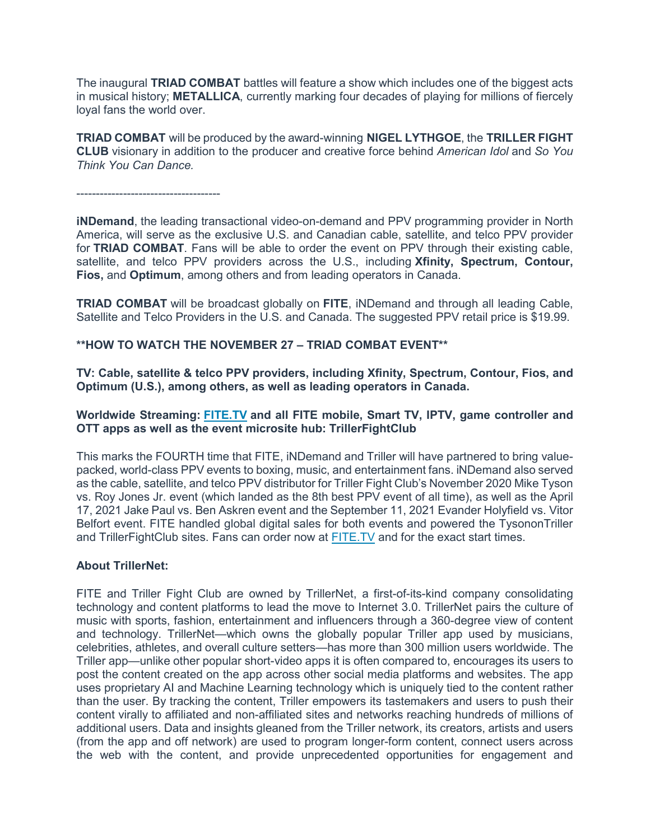The inaugural **TRIAD COMBAT** battles will feature a show which includes one of the biggest acts in musical history; **METALLICA**, currently marking four decades of playing for millions of fiercely loyal fans the world over.

**TRIAD COMBAT** will be produced by the award-winning **NIGEL LYTHGOE**, the **TRILLER FIGHT CLUB** visionary in addition to the producer and creative force behind *American Idol* and *So You Think You Can Dance.*

-------------------------------------

**iNDemand**, the leading transactional video-on-demand and PPV programming provider in North America, will serve as the exclusive U.S. and Canadian cable, satellite, and telco PPV provider for **TRIAD COMBAT**. Fans will be able to order the event on PPV through their existing cable, satellite, and telco PPV providers across the U.S., including **Xfinity, Spectrum, Contour, Fios,** and **Optimum**, among others and from leading operators in Canada.

**TRIAD COMBAT** will be broadcast globally on **FITE**, iNDemand and through all leading Cable, Satellite and Telco Providers in the U.S. and Canada. The suggested PPV retail price is \$19.99.

#### **\*\*HOW TO WATCH THE NOVEMBER 27 – TRIAD COMBAT EVENT\*\***

**TV: Cable, satellite & telco PPV providers, including Xfinity, Spectrum, Contour, Fios, and Optimum (U.S.), among others, as well as leading operators in Canada.**

#### **Worldwide Streaming: [FITE.TV](https://www.globenewswire.com/Tracker?data=4Jb7XG4Te8SnmiUCyVUlYhTiVngyoaoEC4LBYautAqXSX1XMU-U8aNYydd0aiAQYoDwRbn566PULOUAVd5Qhag==) and all FITE mobile, Smart TV, IPTV, game controller and OTT apps as well as the event microsite hub: TrillerFightClub**

This marks the FOURTH time that FITE, iNDemand and Triller will have partnered to bring valuepacked, world-class PPV events to boxing, music, and entertainment fans. iNDemand also served as the cable, satellite, and telco PPV distributor for Triller Fight Club's November 2020 Mike Tyson vs. Roy Jones Jr. event (which landed as the 8th best PPV event of all time), as well as the April 17, 2021 Jake Paul vs. Ben Askren event and the September 11, 2021 Evander Holyfield vs. Vitor Belfort event. FITE handled global digital sales for both events and powered the TysononTriller and TrillerFightClub sites. Fans can order now at [FITE.TV](https://www.globenewswire.com/Tracker?data=4Jb7XG4Te8SnmiUCyVUlYoouLyvW2jra2Ogk6wFk9KoVAz72rGf5tH9Qlf_ivQ6oa12u7TUUsSl5gncoUhwEZIZ-l9xJn7e3GtZzHTtOiXo=) and for the exact start times.

#### **About TrillerNet:**

FITE and Triller Fight Club are owned by TrillerNet, a first-of-its-kind company consolidating technology and content platforms to lead the move to Internet 3.0. TrillerNet pairs the culture of music with sports, fashion, entertainment and influencers through a 360-degree view of content and technology. TrillerNet—which owns the globally popular Triller app used by musicians, celebrities, athletes, and overall culture setters—has more than 300 million users worldwide. The Triller app—unlike other popular short-video apps it is often compared to, encourages its users to post the content created on the app across other social media platforms and websites. The app uses proprietary AI and Machine Learning technology which is uniquely tied to the content rather than the user. By tracking the content, Triller empowers its tastemakers and users to push their content virally to affiliated and non-affiliated sites and networks reaching hundreds of millions of additional users. Data and insights gleaned from the Triller network, its creators, artists and users (from the app and off network) are used to program longer-form content, connect users across the web with the content, and provide unprecedented opportunities for engagement and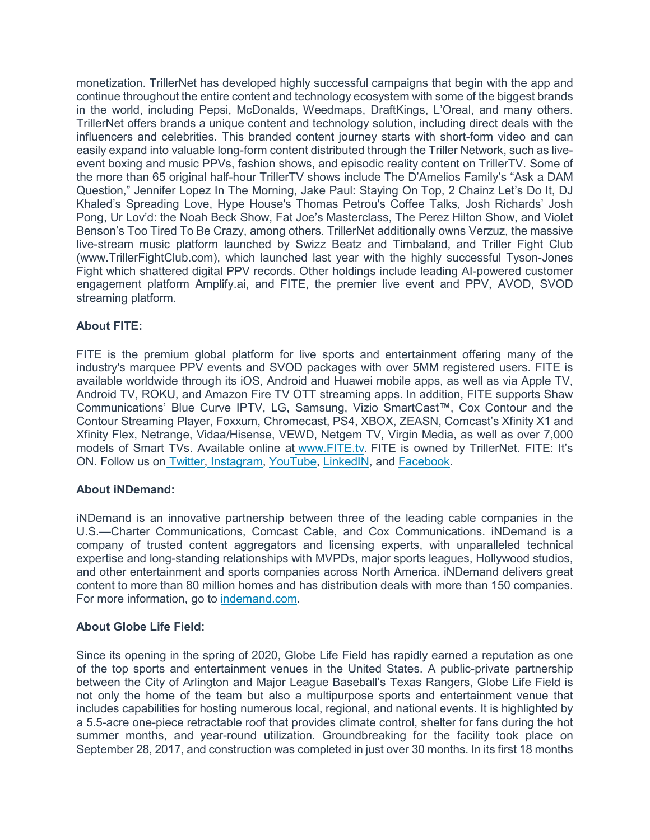monetization. TrillerNet has developed highly successful campaigns that begin with the app and continue throughout the entire content and technology ecosystem with some of the biggest brands in the world, including Pepsi, McDonalds, Weedmaps, DraftKings, L'Oreal, and many others. TrillerNet offers brands a unique content and technology solution, including direct deals with the influencers and celebrities. This branded content journey starts with short-form video and can easily expand into valuable long-form content distributed through the Triller Network, such as liveevent boxing and music PPVs, fashion shows, and episodic reality content on TrillerTV. Some of the more than 65 original half-hour TrillerTV shows include The D'Amelios Family's "Ask a DAM Question," Jennifer Lopez In The Morning, Jake Paul: Staying On Top, 2 Chainz Let's Do It, DJ Khaled's Spreading Love, Hype House's Thomas Petrou's Coffee Talks, Josh Richards' Josh Pong, Ur Lov'd: the Noah Beck Show, Fat Joe's Masterclass, The Perez Hilton Show, and Violet Benson's Too Tired To Be Crazy, among others. TrillerNet additionally owns Verzuz, the massive live-stream music platform launched by Swizz Beatz and Timbaland, and Triller Fight Club (www.TrillerFightClub.com), which launched last year with the highly successful Tyson-Jones Fight which shattered digital PPV records. Other holdings include leading AI-powered customer engagement platform Amplify.ai, and FITE, the premier live event and PPV, AVOD, SVOD streaming platform.

# **About FITE:**

FITE is the premium global platform for live sports and entertainment offering many of the industry's marquee PPV events and SVOD packages with over 5MM registered users. FITE is available worldwide through its iOS, Android and Huawei mobile apps, as well as via Apple TV, Android TV, ROKU, and Amazon Fire TV OTT streaming apps. In addition, FITE supports Shaw Communications' Blue Curve IPTV, LG, Samsung, Vizio SmartCast™, Cox Contour and the Contour Streaming Player, Foxxum, Chromecast, PS4, XBOX, ZEASN, Comcast's Xfinity X1 and Xfinity Flex, Netrange, Vidaa/Hisense, VEWD, Netgem TV, Virgin Media, as well as over 7,000 models of Smart TVs. Available online at [www.FITE.tv.](https://www.globenewswire.com/Tracker?data=TXn1OOxuSm5kxgfpuUPNoBP2l141f2fmIU6qeNxeMJFKZTb1tPYTAKBEOrrr-0zBBnBDbmANc3Mxx8GYRG3DjQ==) FITE is owned by TrillerNet. FITE: It's ON. Follow us on [Twitter,](https://www.globenewswire.com/Tracker?data=Ul8HK5GK57nYBXyEDzpk7ya-Hy5qg5sngBHl1T2Xf6l6NVEe1QvipthPP-pwt0ZAoZ9XI9NGOAMDybczxnSA2w==) [Instagram,](https://www.globenewswire.com/Tracker?data=rprftIyBrFAjruuWECW8j7ewSAV5I9tHA_6yH_BuGzw4ZfDLDGz3AovCZu3h9Gaazx3yYUg2mklP4MAj-UnxJAuKYQK8c8NpTF1RDkkvmsY=) [YouTube,](https://www.globenewswire.com/Tracker?data=OlXU4q9q3s4tLpPqoIRmxEji2CxcV41ioAYyAiPeBGpH2rCkDm50y_GRImzRKaiHLSdw3geERCR9-ZAvb9sFYQ==) [LinkedIN,](https://www.globenewswire.com/Tracker?data=vlbMxV_KrqSv_m3jWQSCvCvYzGvzqkR9GdLJWE5dLlQj9PYQy7WFPKpJ58Z19poMIH1WbvFXSQa-uP931q88HYLjplBHMmgR8Wiv9hcdywg=) and [Facebook.](https://www.globenewswire.com/Tracker?data=JN1qltr5B0xwNxzqHTbhGbrGgNI0HveVQDa-DN64LlRlU5DpzWLzeFdEzGkjVWg9q7gD7q0mh5rXYKdEGcnINg==)

### **About iNDemand:**

iNDemand is an innovative partnership between three of the leading cable companies in the U.S.—Charter Communications, Comcast Cable, and Cox Communications. iNDemand is a company of trusted content aggregators and licensing experts, with unparalleled technical expertise and long-standing relationships with MVPDs, major sports leagues, Hollywood studios, and other entertainment and sports companies across North America. iNDemand delivers great content to more than 80 million homes and has distribution deals with more than 150 companies. For more information, go to [indemand.com.](https://www.globenewswire.com/Tracker?data=qRopXgzMU53fpPiwhO_iB5lqmQTumpqX1YbqvheiS0LCJafhvDXrulJQsDDlVoGsvhW2UZwRDIsxz_SgfyLWTw==)

### **About Globe Life Field:**

Since its opening in the spring of 2020, Globe Life Field has rapidly earned a reputation as one of the top sports and entertainment venues in the United States. A public-private partnership between the City of Arlington and Major League Baseball's Texas Rangers, Globe Life Field is not only the home of the team but also a multipurpose sports and entertainment venue that includes capabilities for hosting numerous local, regional, and national events. It is highlighted by a 5.5-acre one-piece retractable roof that provides climate control, shelter for fans during the hot summer months, and year-round utilization. Groundbreaking for the facility took place on September 28, 2017, and construction was completed in just over 30 months. In its first 18 months